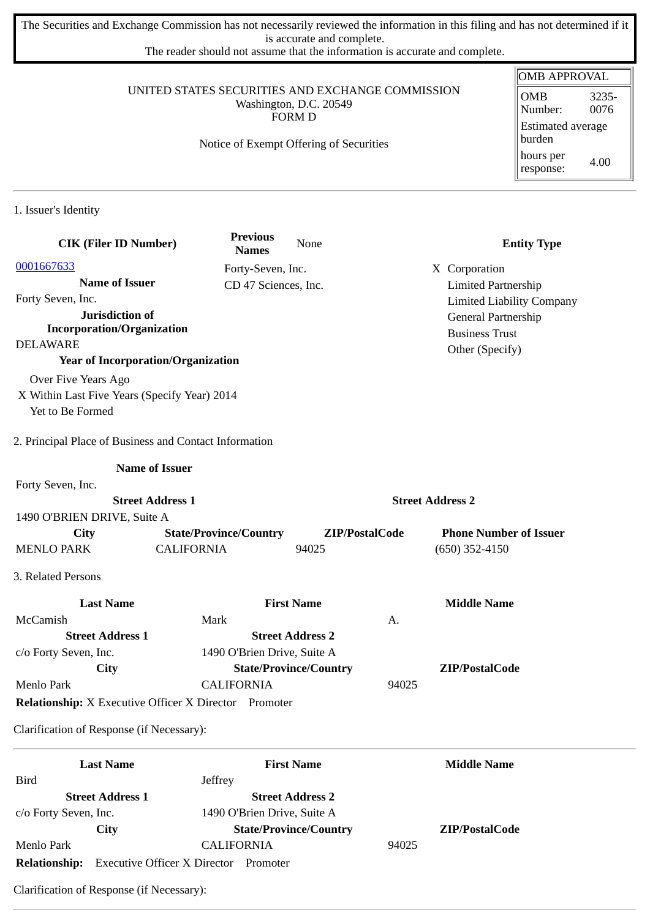The Securities and Exchange Commission has not necessarily reviewed the information in this filing and has not determined if it is accurate and complete.

The reader should not assume that the information is accurate and complete.

#### UNITED STATES SECURITIES AND EXCHANGE COMMISSION Washington, D.C. 20549 FORM D

### Notice of Exempt Offering of Securities

| OMB APPROVAL                       |               |  |  |  |
|------------------------------------|---------------|--|--|--|
| OMB<br>Number:                     | 3235-<br>0076 |  |  |  |
| <b>Estimated average</b><br>burden |               |  |  |  |
| hours per<br>response:             | 4.00          |  |  |  |

1. Issuer's Identity

| <b>CIK (Filer ID Number)</b>                                 |                               | <b>Previous</b><br><b>Names</b> | None                          |                         | <b>Entity Type</b>               |
|--------------------------------------------------------------|-------------------------------|---------------------------------|-------------------------------|-------------------------|----------------------------------|
| 0001667633                                                   |                               | Forty-Seven, Inc.               |                               |                         | X Corporation                    |
| <b>Name of Issuer</b>                                        |                               | CD 47 Sciences, Inc.            |                               |                         | <b>Limited Partnership</b>       |
| Forty Seven, Inc.                                            |                               |                                 |                               |                         | <b>Limited Liability Company</b> |
| Jurisdiction of                                              |                               |                                 |                               |                         | General Partnership              |
| <b>Incorporation/Organization</b>                            |                               |                                 |                               |                         | <b>Business Trust</b>            |
| <b>DELAWARE</b>                                              |                               |                                 |                               |                         | Other (Specify)                  |
| <b>Year of Incorporation/Organization</b>                    |                               |                                 |                               |                         |                                  |
| Over Five Years Ago                                          |                               |                                 |                               |                         |                                  |
| X Within Last Five Years (Specify Year) 2014                 |                               |                                 |                               |                         |                                  |
| Yet to Be Formed                                             |                               |                                 |                               |                         |                                  |
| 2. Principal Place of Business and Contact Information       |                               |                                 |                               |                         |                                  |
|                                                              | <b>Name of Issuer</b>         |                                 |                               |                         |                                  |
| Forty Seven, Inc.                                            |                               |                                 |                               |                         |                                  |
|                                                              | <b>Street Address 1</b>       |                                 |                               | <b>Street Address 2</b> |                                  |
| 1490 O'BRIEN DRIVE, Suite A                                  |                               |                                 |                               |                         |                                  |
| City                                                         | <b>State/Province/Country</b> |                                 | ZIP/PostalCode                |                         | <b>Phone Number of Issuer</b>    |
| <b>MENLO PARK</b>                                            | <b>CALIFORNIA</b>             |                                 | 94025                         |                         | $(650)$ 352-4150                 |
| 3. Related Persons                                           |                               |                                 |                               |                         |                                  |
| <b>Last Name</b>                                             |                               | <b>First Name</b>               |                               |                         | <b>Middle Name</b>               |
| McCamish                                                     | Mark                          |                                 |                               | А.                      |                                  |
| <b>Street Address 1</b>                                      |                               | <b>Street Address 2</b>         |                               |                         |                                  |
| c/o Forty Seven, Inc.                                        | 1490 O'Brien Drive, Suite A   |                                 |                               |                         |                                  |
| City                                                         |                               |                                 | <b>State/Province/Country</b> |                         | ZIP/PostalCode                   |
| Menlo Park                                                   | <b>CALIFORNIA</b>             |                                 |                               | 94025                   |                                  |
| <b>Relationship:</b> X Executive Officer X Director Promoter |                               |                                 |                               |                         |                                  |
| Clarification of Response (if Necessary):                    |                               |                                 |                               |                         |                                  |
| <b>Last Name</b>                                             |                               | <b>First Name</b>               |                               |                         | <b>Middle Name</b>               |
| <b>Bird</b>                                                  | Jeffrey                       |                                 |                               |                         |                                  |
| <b>Street Address 1</b>                                      |                               | <b>Street Address 2</b>         |                               |                         |                                  |
| c/o Forty Seven, Inc.                                        | 1490 O'Brien Drive, Suite A   |                                 |                               |                         |                                  |

**City State/Province/Country ZIP/PostalCode**

Menlo Park CALIFORNIA 94025 **Relationship:** Executive Officer X Director Promoter

Clarification of Response (if Necessary):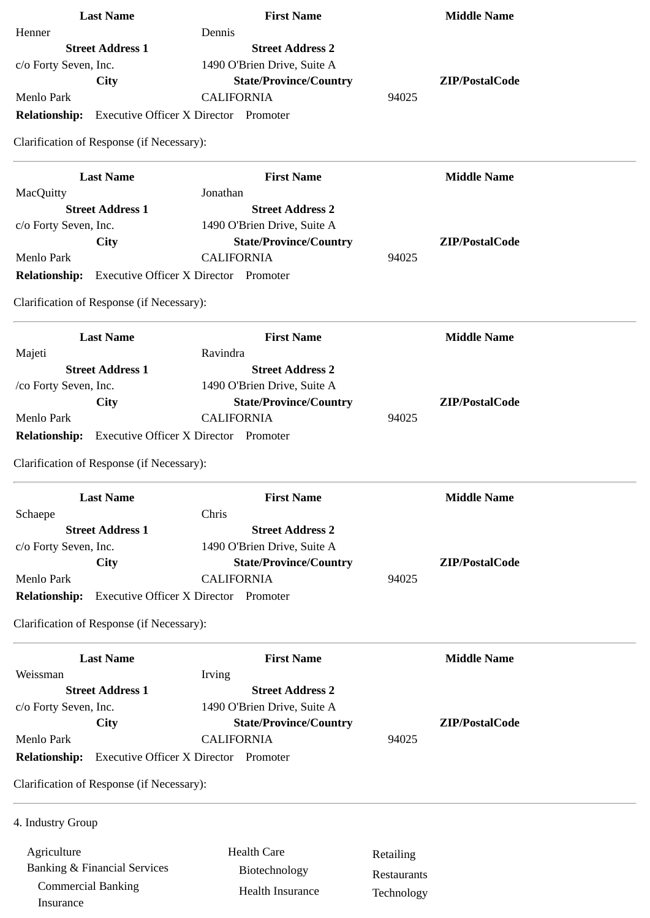| <b>Last Name</b>                                           | <b>First Name</b>                            |             | <b>Middle Name</b> |
|------------------------------------------------------------|----------------------------------------------|-------------|--------------------|
| Henner                                                     | Dennis                                       |             |                    |
| <b>Street Address 1</b>                                    | <b>Street Address 2</b>                      |             |                    |
| c/o Forty Seven, Inc.                                      | 1490 O'Brien Drive, Suite A                  |             |                    |
| City                                                       | <b>State/Province/Country</b>                |             | ZIP/PostalCode     |
| Menlo Park                                                 | <b>CALIFORNIA</b>                            | 94025       |                    |
| <b>Relationship:</b> Executive Officer X Director Promoter |                                              |             |                    |
| Clarification of Response (if Necessary):                  |                                              |             |                    |
| <b>Last Name</b>                                           | <b>First Name</b>                            |             | <b>Middle Name</b> |
| <b>MacQuitty</b>                                           | Jonathan                                     |             |                    |
| <b>Street Address 1</b>                                    | <b>Street Address 2</b>                      |             |                    |
| c/o Forty Seven, Inc.                                      | 1490 O'Brien Drive, Suite A                  |             |                    |
| City                                                       | <b>State/Province/Country</b>                |             | ZIP/PostalCode     |
| <b>Menlo Park</b>                                          | <b>CALIFORNIA</b>                            | 94025       |                    |
| <b>Relationship:</b> Executive Officer X Director Promoter |                                              |             |                    |
| Clarification of Response (if Necessary):                  |                                              |             |                    |
| <b>Last Name</b>                                           | <b>First Name</b>                            |             | <b>Middle Name</b> |
| Majeti                                                     | Ravindra                                     |             |                    |
| <b>Street Address 1</b>                                    | <b>Street Address 2</b>                      |             |                    |
| /co Forty Seven, Inc.                                      | 1490 O'Brien Drive, Suite A                  |             |                    |
| City                                                       | <b>State/Province/Country</b>                |             | ZIP/PostalCode     |
| Menlo Park                                                 | <b>CALIFORNIA</b>                            | 94025       |                    |
| <b>Relationship:</b> Executive Officer X Director Promoter |                                              |             |                    |
|                                                            |                                              |             |                    |
| Clarification of Response (if Necessary):                  |                                              |             |                    |
| <b>Last Name</b>                                           | <b>First Name</b>                            |             | <b>Middle Name</b> |
| Schaepe                                                    | Chris                                        |             |                    |
| <b>Street Address 1</b>                                    | <b>Street Address 2</b>                      |             |                    |
| c/o Forty Seven, Inc.                                      | 1490 O'Brien Drive, Suite A                  |             |                    |
| City                                                       | <b>State/Province/Country</b>                |             | ZIP/PostalCode     |
| Menlo Park                                                 | <b>CALIFORNIA</b>                            | 94025       |                    |
| <b>Relationship:</b>                                       | <b>Executive Officer X Director Promoter</b> |             |                    |
| Clarification of Response (if Necessary):                  |                                              |             |                    |
| <b>Last Name</b>                                           | <b>First Name</b>                            |             | <b>Middle Name</b> |
| Weissman                                                   | Irving                                       |             |                    |
| <b>Street Address 1</b>                                    | <b>Street Address 2</b>                      |             |                    |
| c/o Forty Seven, Inc.                                      | 1490 O'Brien Drive, Suite A                  |             |                    |
| <b>City</b>                                                | <b>State/Province/Country</b>                |             | ZIP/PostalCode     |
| Menlo Park                                                 | <b>CALIFORNIA</b>                            | 94025       |                    |
| <b>Relationship:</b>                                       | <b>Executive Officer X Director Promoter</b> |             |                    |
| Clarification of Response (if Necessary):                  |                                              |             |                    |
|                                                            |                                              |             |                    |
| 4. Industry Group                                          |                                              |             |                    |
| Agriculture                                                | <b>Health Care</b>                           | Retailing   |                    |
| <b>Banking &amp; Financial Services</b>                    | Biotechnology                                | Restaurants |                    |
| <b>Commercial Banking</b>                                  | Health Insurance                             |             |                    |
| Insurance                                                  |                                              | Technology  |                    |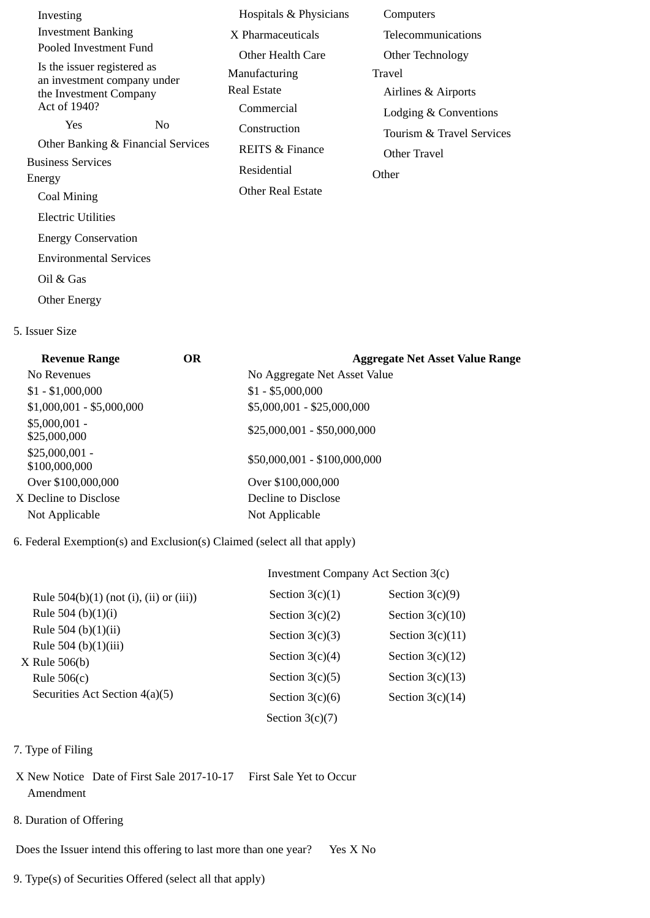| Investing                                                  | Hospitals & Physicians     | Computers                 |
|------------------------------------------------------------|----------------------------|---------------------------|
| <b>Investment Banking</b>                                  | X Pharmaceuticals          | Telecommunications        |
| Pooled Investment Fund                                     | Other Health Care          | Other Technology          |
| Is the issuer registered as<br>an investment company under | Manufacturing              | Travel                    |
| the Investment Company                                     | Real Estate                | Airlines & Airports       |
| Act of 1940?                                               | Commercial                 | Lodging & Conventions     |
| Yes<br>N <sub>0</sub>                                      | Construction               | Tourism & Travel Services |
| Other Banking & Financial Services                         | <b>REITS &amp; Finance</b> | Other Travel              |
| <b>Business Services</b>                                   | Residential                | Other                     |
| Energy                                                     | Other Real Estate          |                           |
| Coal Mining                                                |                            |                           |
| <b>Electric Utilities</b>                                  |                            |                           |
| <b>Energy Conservation</b>                                 |                            |                           |
| <b>Environmental Services</b>                              |                            |                           |
| Oil & Gas                                                  |                            |                           |
| <b>Other Energy</b>                                        |                            |                           |

#### 5. Issuer Size

| <b>OR</b> | <b>Aggregate Net Asset Value Range</b> |
|-----------|----------------------------------------|
|           | No Aggregate Net Asset Value           |
|           | $$1 - $5,000,000$                      |
|           | \$5,000,001 - \$25,000,000             |
|           | \$25,000,001 - \$50,000,000            |
|           | \$50,000,001 - \$100,000,000           |
|           | Over \$100,000,000                     |
|           | Decline to Disclose                    |
|           | Not Applicable                         |
|           |                                        |

### 6. Federal Exemption(s) and Exclusion(s) Claimed (select all that apply)

# Investment Company Act Section 3(c)

| Rule $504(b)(1)$ (not (i), (ii) or (iii))  | Section $3(c)(1)$ | Section $3(c)(9)$  |
|--------------------------------------------|-------------------|--------------------|
| Rule 504 (b) $(1)(i)$                      | Section $3(c)(2)$ | Section $3(c)(10)$ |
| Rule 504 (b) $(1)(ii)$                     | Section $3(c)(3)$ | Section $3(c)(11)$ |
| Rule 504 (b) $(1)(iii)$<br>$X$ Rule 506(b) | Section $3(c)(4)$ | Section $3(c)(12)$ |
| Rule $506(c)$                              | Section $3(c)(5)$ | Section $3(c)(13)$ |
| Securities Act Section 4(a)(5)             | Section $3(c)(6)$ | Section $3(c)(14)$ |
|                                            | Section $3(c)(7)$ |                    |

## 7. Type of Filing

- X New Notice Date of First Sale 2017-10-17 First Sale Yet to Occur Amendment
- 8. Duration of Offering

Does the Issuer intend this offering to last more than one year? Yes X No

9. Type(s) of Securities Offered (select all that apply)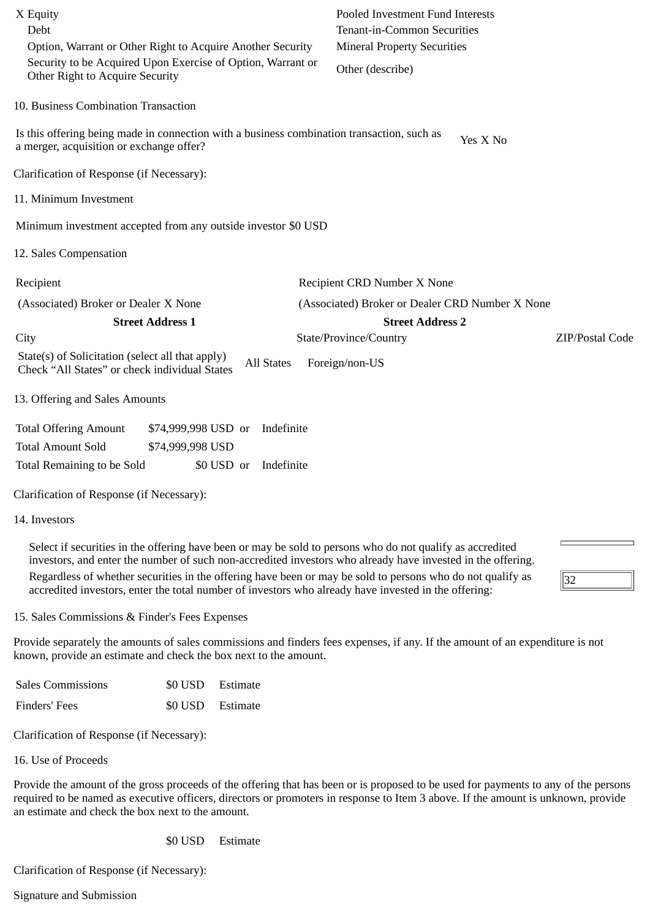| X Equity<br>Debt<br>Option, Warrant or Other Right to Acquire Another Security                                                                                                                                                                                                                                                                                                                                                                 | Pooled Investment Fund Interests<br><b>Tenant-in-Common Securities</b><br><b>Mineral Property Securities</b> |
|------------------------------------------------------------------------------------------------------------------------------------------------------------------------------------------------------------------------------------------------------------------------------------------------------------------------------------------------------------------------------------------------------------------------------------------------|--------------------------------------------------------------------------------------------------------------|
| Security to be Acquired Upon Exercise of Option, Warrant or<br>Other Right to Acquire Security                                                                                                                                                                                                                                                                                                                                                 | Other (describe)                                                                                             |
| 10. Business Combination Transaction                                                                                                                                                                                                                                                                                                                                                                                                           |                                                                                                              |
| Is this offering being made in connection with a business combination transaction, such as<br>a merger, acquisition or exchange offer?                                                                                                                                                                                                                                                                                                         | Yes X No                                                                                                     |
| Clarification of Response (if Necessary):                                                                                                                                                                                                                                                                                                                                                                                                      |                                                                                                              |
| 11. Minimum Investment                                                                                                                                                                                                                                                                                                                                                                                                                         |                                                                                                              |
| Minimum investment accepted from any outside investor \$0 USD                                                                                                                                                                                                                                                                                                                                                                                  |                                                                                                              |
| 12. Sales Compensation                                                                                                                                                                                                                                                                                                                                                                                                                         |                                                                                                              |
| Recipient                                                                                                                                                                                                                                                                                                                                                                                                                                      | Recipient CRD Number X None                                                                                  |
| (Associated) Broker or Dealer X None                                                                                                                                                                                                                                                                                                                                                                                                           | (Associated) Broker or Dealer CRD Number X None                                                              |
| <b>Street Address 1</b>                                                                                                                                                                                                                                                                                                                                                                                                                        | <b>Street Address 2</b>                                                                                      |
| City                                                                                                                                                                                                                                                                                                                                                                                                                                           | State/Province/Country<br>ZIP/Postal Code                                                                    |
| State(s) of Solicitation (select all that apply)<br><b>All States</b><br>Check "All States" or check individual States                                                                                                                                                                                                                                                                                                                         | Foreign/non-US                                                                                               |
| 13. Offering and Sales Amounts                                                                                                                                                                                                                                                                                                                                                                                                                 |                                                                                                              |
| <b>Total Offering Amount</b><br>\$74,999,998 USD or<br>Indefinite                                                                                                                                                                                                                                                                                                                                                                              |                                                                                                              |
| <b>Total Amount Sold</b><br>\$74,999,998 USD                                                                                                                                                                                                                                                                                                                                                                                                   |                                                                                                              |
| Indefinite<br>Total Remaining to be Sold<br>\$0 USD or                                                                                                                                                                                                                                                                                                                                                                                         |                                                                                                              |
| Clarification of Response (if Necessary):                                                                                                                                                                                                                                                                                                                                                                                                      |                                                                                                              |
| 14. Investors                                                                                                                                                                                                                                                                                                                                                                                                                                  |                                                                                                              |
| Select if securities in the offering have been or may be sold to persons who do not qualify as accredited<br>investors, and enter the number of such non-accredited investors who already have invested in the offering.<br>Regardless of whether securities in the offering have been or may be sold to persons who do not qualify as<br>accredited investors, enter the total number of investors who already have invested in the offering: | 32                                                                                                           |

15. Sales Commissions & Finder's Fees Expenses

Provide separately the amounts of sales commissions and finders fees expenses, if any. If the amount of an expenditure is not known, provide an estimate and check the box next to the amount.

| <b>Sales Commissions</b> |                  | \$0 USD Estimate |
|--------------------------|------------------|------------------|
| Finders' Fees            | \$0 USD Estimate |                  |

Clarification of Response (if Necessary):

16. Use of Proceeds

Provide the amount of the gross proceeds of the offering that has been or is proposed to be used for payments to any of the persons required to be named as executive officers, directors or promoters in response to Item 3 above. If the amount is unknown, provide an estimate and check the box next to the amount.

\$0 USD Estimate

Clarification of Response (if Necessary):

Signature and Submission